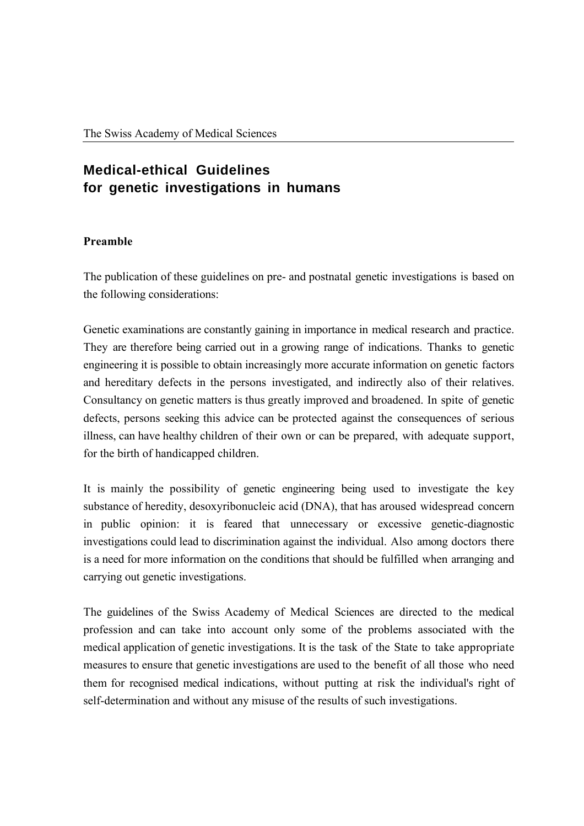# **Medical-ethical Guidelines for genetic investigations in humans**

## **Preamble**

The publication of these guidelines on pre- and postnatal genetic investigations is based on the following considerations:

Genetic examinations are constantly gaining in importance in medical research and practice. They are therefore being carried out in a growing range of indications. Thanks to genetic engineering it is possible to obtain increasingly more accurate information on genetic factors and hereditary defects in the persons investigated, and indirectly also of their relatives. Consultancy on genetic matters is thus greatly improved and broadened. In spite of genetic defects, persons seeking this advice can be protected against the consequences of serious illness, can have healthy children of their own or can be prepared, with adequate support, for the birth of handicapped children.

It is mainly the possibility of genetic engineering being used to investigate the key substance of heredity, desoxyribonucleic acid (DNA), that has aroused widespread concern in public opinion: it is feared that unnecessary or excessive genetic-diagnostic investigations could lead to discrimination against the individual. Also among doctors there is a need for more information on the conditions that should be fulfilled when arranging and carrying out genetic investigations.

The guidelines of the Swiss Academy of Medical Sciences are directed to the medical profession and can take into account only some of the problems associated with the medical application of genetic investigations. It is the task of the State to take appropriate measures to ensure that genetic investigations are used to the benefit of all those who need them for recognised medical indications, without putting at risk the individual's right of self-determination and without any misuse of the results of such investigations.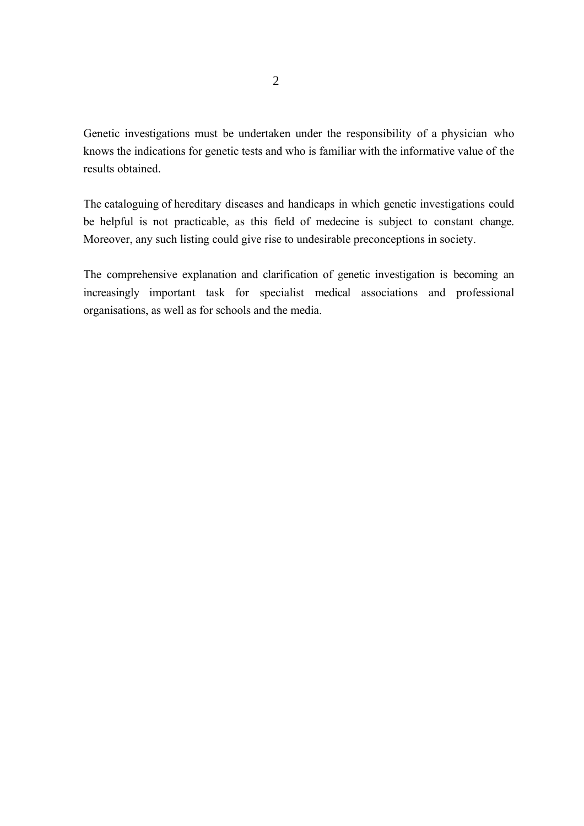Genetic investigations must be undertaken under the responsibility of a physician who knows the indications for genetic tests and who is familiar with the informative value of the results obtained.

The cataloguing of hereditary diseases and handicaps in which genetic investigations could be helpful is not practicable, as this field of medecine is subject to constant change. Moreover, any such listing could give rise to undesirable preconceptions in society.

The comprehensive explanation and clarification of genetic investigation is becoming an increasingly important task for specialist medical associations and professional organisations, as well as for schools and the media.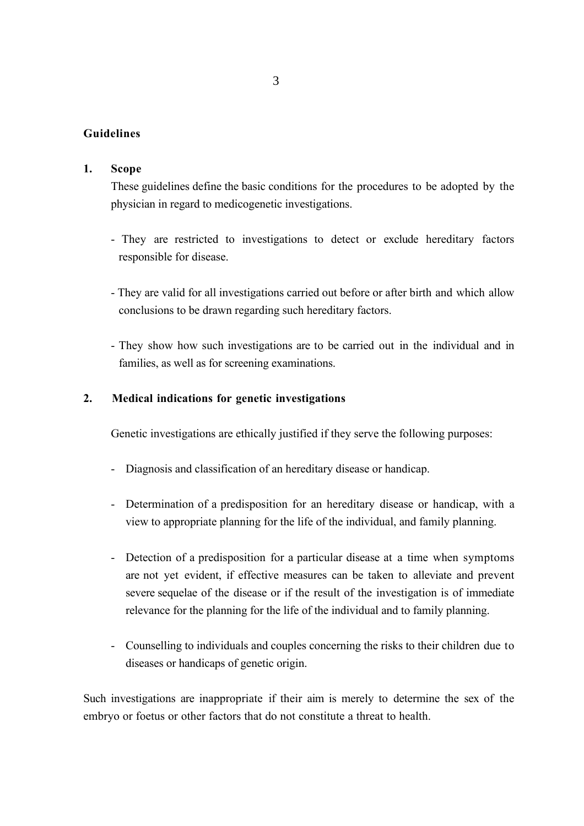## **Guidelines**

### **1. Scope**

These guidelines define the basic conditions for the procedures to be adopted by the physician in regard to medicogenetic investigations.

- They are restricted to investigations to detect or exclude hereditary factors responsible for disease.
- They are valid for all investigations carried out before or after birth and which allow conclusions to be drawn regarding such hereditary factors.
- They show how such investigations are to be carried out in the individual and in families, as well as for screening examinations.

#### **2. Medical indications for genetic investigations**

Genetic investigations are ethically justified if they serve the following purposes:

- Diagnosis and classification of an hereditary disease or handicap.
- Determination of a predisposition for an hereditary disease or handicap, with a view to appropriate planning for the life of the individual, and family planning.
- Detection of a predisposition for a particular disease at a time when symptoms are not yet evident, if effective measures can be taken to alleviate and prevent severe sequelae of the disease or if the result of the investigation is of immediate relevance for the planning for the life of the individual and to family planning.
- Counselling to individuals and couples concerning the risks to their children due to diseases or handicaps of genetic origin.

Such investigations are inappropriate if their aim is merely to determine the sex of the embryo or foetus or other factors that do not constitute a threat to health.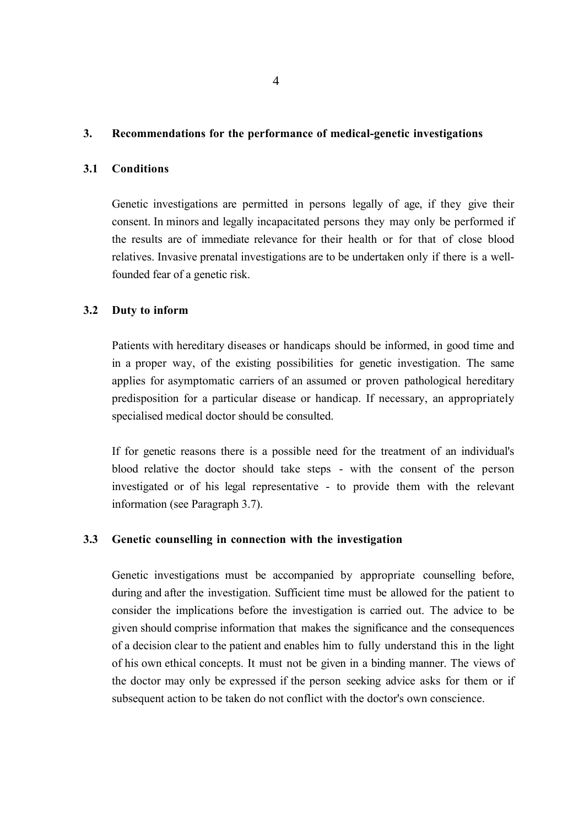## **3. Recommendations for the performance of medical-genetic investigations**

## **3.1 Conditions**

Genetic investigations are permitted in persons legally of age, if they give their consent. In minors and legally incapacitated persons they may only be performed if the results are of immediate relevance for their health or for that of close blood relatives. Invasive prenatal investigations are to be undertaken only if there is a wellfounded fear of a genetic risk.

#### **3.2 Duty to inform**

Patients with hereditary diseases or handicaps should be informed, in good time and in a proper way, of the existing possibilities for genetic investigation. The same applies for asymptomatic carriers of an assumed or proven pathological hereditary predisposition for a particular disease or handicap. If necessary, an appropriately specialised medical doctor should be consulted.

If for genetic reasons there is a possible need for the treatment of an individual's blood relative the doctor should take steps - with the consent of the person investigated or of his legal representative - to provide them with the relevant information (see Paragraph 3.7).

#### **3.3 Genetic counselling in connection with the investigation**

Genetic investigations must be accompanied by appropriate counselling before, during and after the investigation. Sufficient time must be allowed for the patient to consider the implications before the investigation is carried out. The advice to be given should comprise information that makes the significance and the consequences of a decision clear to the patient and enables him to fully understand this in the light of his own ethical concepts. It must not be given in a binding manner. The views of the doctor may only be expressed if the person seeking advice asks for them or if subsequent action to be taken do not conflict with the doctor's own conscience.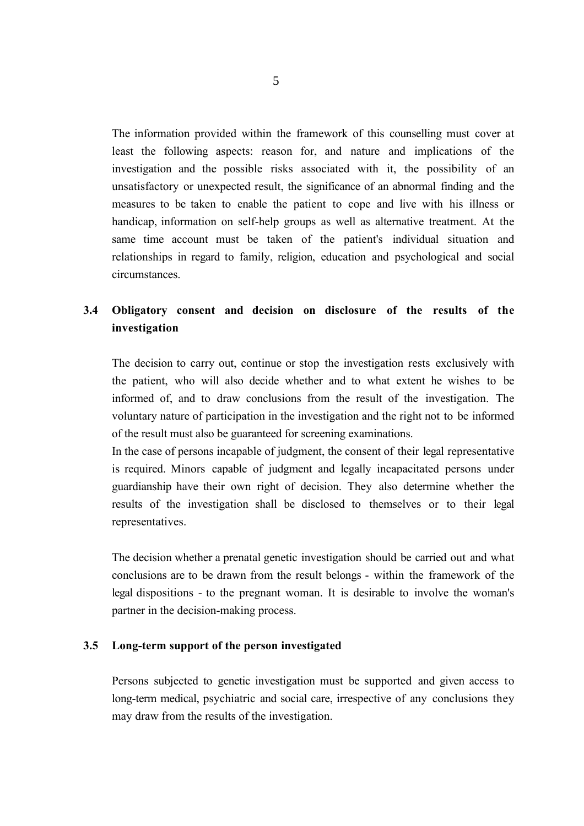The information provided within the framework of this counselling must cover at least the following aspects: reason for, and nature and implications of the investigation and the possible risks associated with it, the possibility of an unsatisfactory or unexpected result, the significance of an abnormal finding and the measures to be taken to enable the patient to cope and live with his illness or handicap, information on self-help groups as well as alternative treatment. At the same time account must be taken of the patient's individual situation and relationships in regard to family, religion, education and psychological and social circumstances.

## **3.4 Obligatory consent and decision on disclosure of the results of the investigation**

The decision to carry out, continue or stop the investigation rests exclusively with the patient, who will also decide whether and to what extent he wishes to be informed of, and to draw conclusions from the result of the investigation. The voluntary nature of participation in the investigation and the right not to be informed of the result must also be guaranteed for screening examinations.

In the case of persons incapable of judgment, the consent of their legal representative is required. Minors capable of judgment and legally incapacitated persons under guardianship have their own right of decision. They also determine whether the results of the investigation shall be disclosed to themselves or to their legal representatives.

The decision whether a prenatal genetic investigation should be carried out and what conclusions are to be drawn from the result belongs - within the framework of the legal dispositions - to the pregnant woman. It is desirable to involve the woman's partner in the decision-making process.

#### **3.5 Long-term support of the person investigated**

Persons subjected to genetic investigation must be supported and given access to long-term medical, psychiatric and social care, irrespective of any conclusions they may draw from the results of the investigation.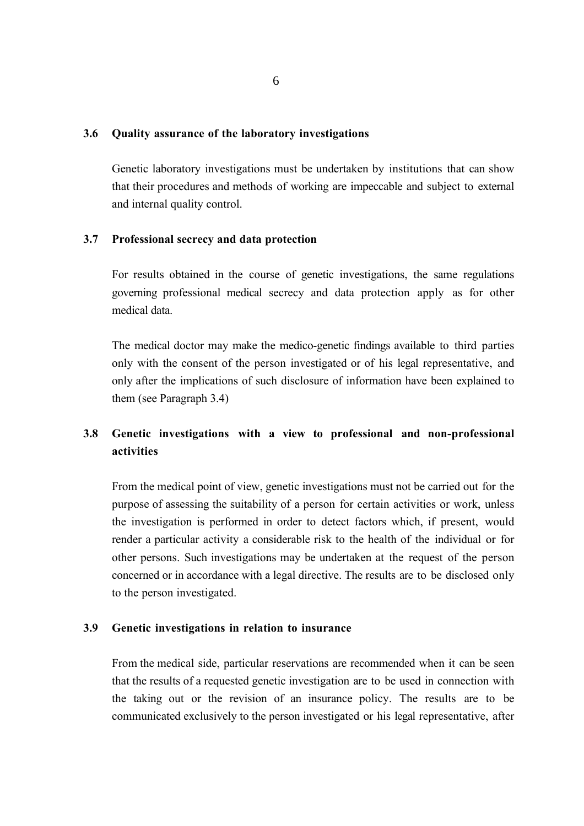#### **3.6 Quality assurance of the laboratory investigations**

Genetic laboratory investigations must be undertaken by institutions that can show that their procedures and methods of working are impeccable and subject to external and internal quality control.

#### **3.7 Professional secrecy and data protection**

For results obtained in the course of genetic investigations, the same regulations governing professional medical secrecy and data protection apply as for other medical data.

The medical doctor may make the medico-genetic findings available to third parties only with the consent of the person investigated or of his legal representative, and only after the implications of such disclosure of information have been explained to them (see Paragraph 3.4)

## **3.8 Genetic investigations with a view to professional and non-professional activities**

From the medical point of view, genetic investigations must not be carried out for the purpose of assessing the suitability of a person for certain activities or work, unless the investigation is performed in order to detect factors which, if present, would render a particular activity a considerable risk to the health of the individual or for other persons. Such investigations may be undertaken at the request of the person concerned or in accordance with a legal directive. The results are to be disclosed only to the person investigated.

#### **3.9 Genetic investigations in relation to insurance**

From the medical side, particular reservations are recommended when it can be seen that the results of a requested genetic investigation are to be used in connection with the taking out or the revision of an insurance policy. The results are to be communicated exclusively to the person investigated or his legal representative, after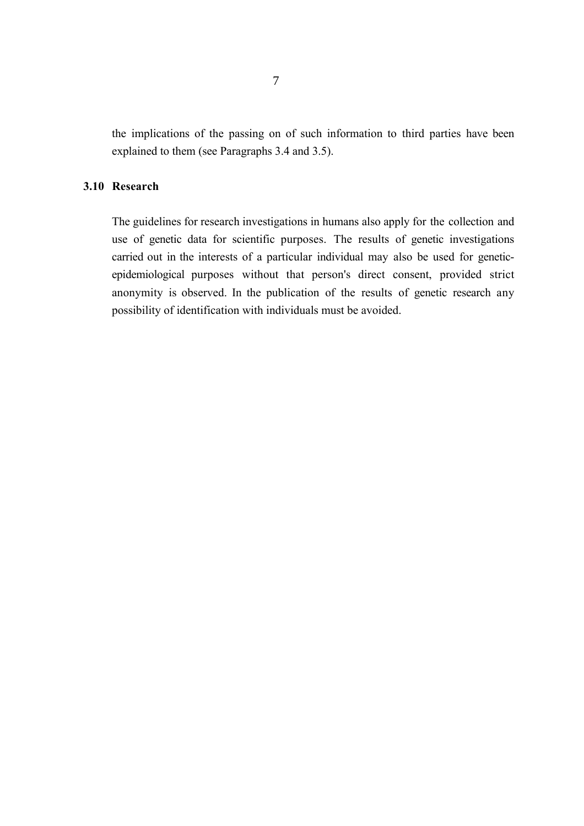the implications of the passing on of such information to third parties have been explained to them (see Paragraphs 3.4 and 3.5).

#### **3.10 Research**

The guidelines for research investigations in humans also apply for the collection and use of genetic data for scientific purposes. The results of genetic investigations carried out in the interests of a particular individual may also be used for geneticepidemiological purposes without that person's direct consent, provided strict anonymity is observed. In the publication of the results of genetic research any possibility of identification with individuals must be avoided.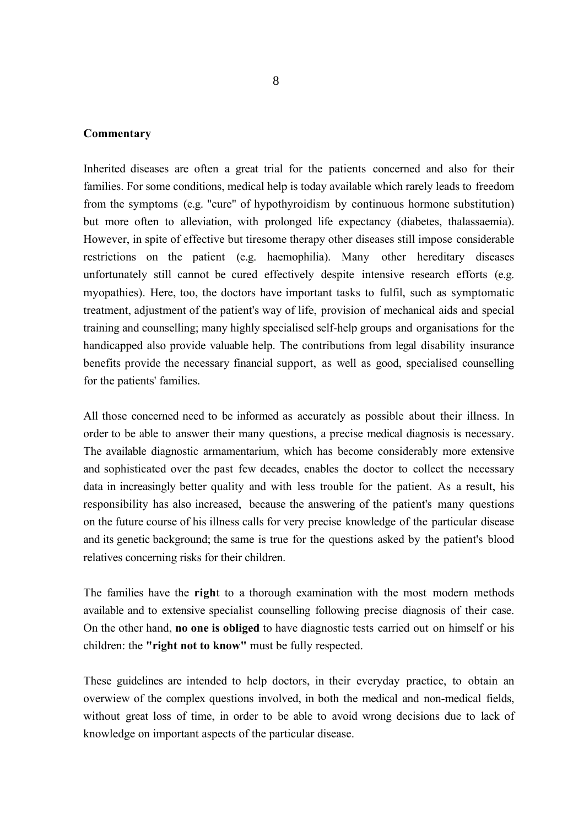#### **Commentary**

Inherited diseases are often a great trial for the patients concerned and also for their families. For some conditions, medical help is today available which rarely leads to freedom from the symptoms (e.g. "cure" of hypothyroidism by continuous hormone substitution) but more often to alleviation, with prolonged life expectancy (diabetes, thalassaemia). However, in spite of effective but tiresome therapy other diseases still impose considerable restrictions on the patient (e.g. haemophilia). Many other hereditary diseases unfortunately still cannot be cured effectively despite intensive research efforts (e.g. myopathies). Here, too, the doctors have important tasks to fulfil, such as symptomatic treatment, adjustment of the patient's way of life, provision of mechanical aids and special training and counselling; many highly specialised self-help groups and organisations for the handicapped also provide valuable help. The contributions from legal disability insurance benefits provide the necessary financial support, as well as good, specialised counselling for the patients' families.

All those concerned need to be informed as accurately as possible about their illness. In order to be able to answer their many questions, a precise medical diagnosis is necessary. The available diagnostic armamentarium, which has become considerably more extensive and sophisticated over the past few decades, enables the doctor to collect the necessary data in increasingly better quality and with less trouble for the patient. As a result, his responsibility has also increased, because the answering of the patient's many questions on the future course of his illness calls for very precise knowledge of the particular disease and its genetic background; the same is true for the questions asked by the patient's blood relatives concerning risks for their children.

The families have the **righ**t to a thorough examination with the most modern methods available and to extensive specialist counselling following precise diagnosis of their case. On the other hand, **no one is obliged** to have diagnostic tests carried out on himself or his children: the **"right not to know"** must be fully respected.

These guidelines are intended to help doctors, in their everyday practice, to obtain an overwiew of the complex questions involved, in both the medical and non-medical fields, without great loss of time, in order to be able to avoid wrong decisions due to lack of knowledge on important aspects of the particular disease.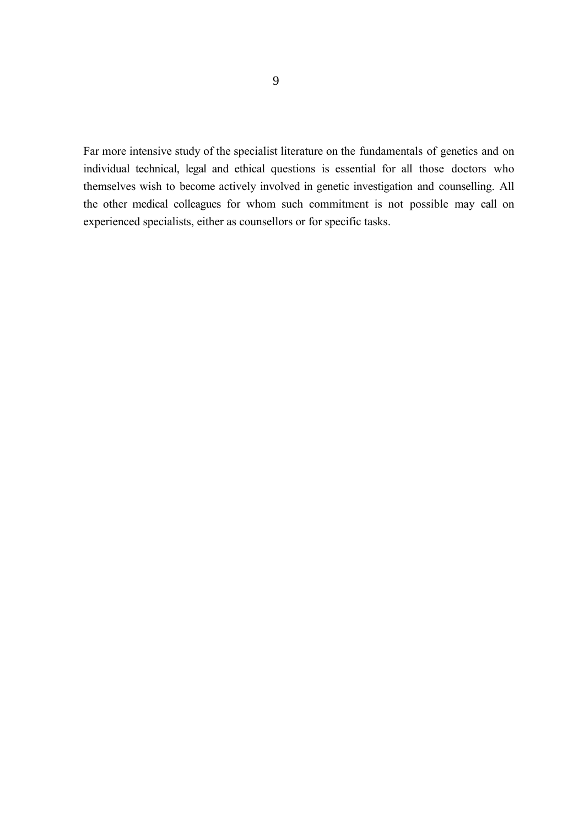Far more intensive study of the specialist literature on the fundamentals of genetics and on individual technical, legal and ethical questions is essential for all those doctors who themselves wish to become actively involved in genetic investigation and counselling. All the other medical colleagues for whom such commitment is not possible may call on experienced specialists, either as counsellors or for specific tasks.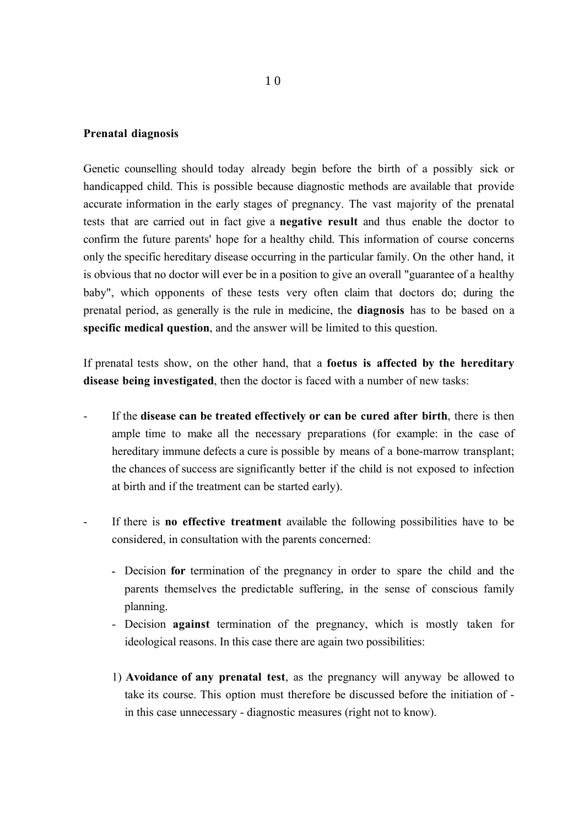#### **Prenatal diagnosis**

Genetic counselling should today already begin before the birth of a possibly sick or handicapped child. This is possible because diagnostic methods are available that provide accurate information in the early stages of pregnancy. The vast majority of the prenatal tests that are carried out in fact give a **negative result** and thus enable the doctor to confirm the future parents' hope for a healthy child. This information of course concerns only the specific hereditary disease occurring in the particular family. On the other hand, it is obvious that no doctor will ever be in a position to give an overall "guarantee of a healthy baby", which opponents of these tests very often claim that doctors do; during the prenatal period, as generally is the rule in medicine, the **diagnosis** has to be based on a **specific medical question**, and the answer will be limited to this question.

If prenatal tests show, on the other hand, that a **foetus is affected by the hereditary disease being investigated**, then the doctor is faced with a number of new tasks:

- If the **disease can be treated effectively or can be cured after birth**, there is then ample time to make all the necessary preparations (for example: in the case of hereditary immune defects a cure is possible by means of a bone-marrow transplant; the chances of success are significantly better if the child is not exposed to infection at birth and if the treatment can be started early).
- If there is **no effective treatment** available the following possibilities have to be considered, in consultation with the parents concerned:
	- **-** Decision **for** termination of the pregnancy in order to spare the child and the parents themselves the predictable suffering, in the sense of conscious family planning.
	- Decision **against** termination of the pregnancy, which is mostly taken for ideological reasons. In this case there are again two possibilities:
	- 1) **Avoidance of any prenatal test**, as the pregnancy will anyway be allowed to take its course. This option must therefore be discussed before the initiation of in this case unnecessary - diagnostic measures (right not to know).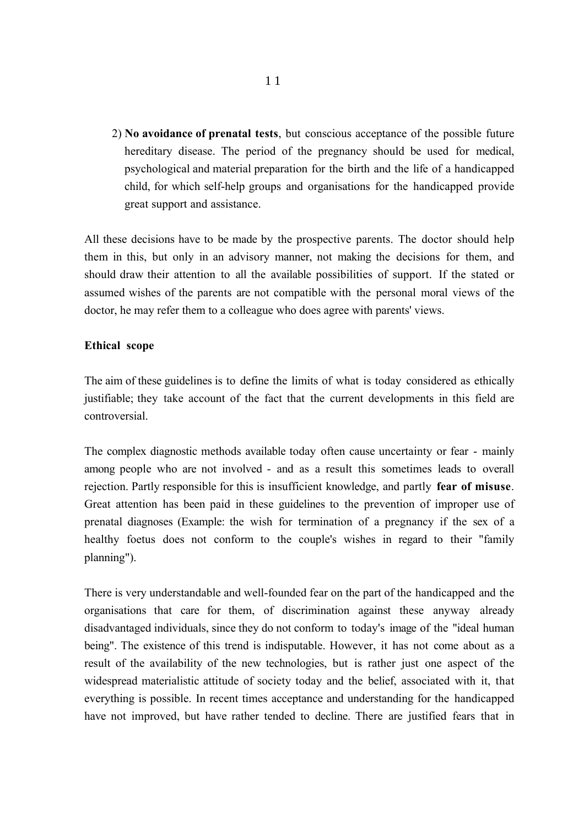2) **No avoidance of prenatal tests**, but conscious acceptance of the possible future hereditary disease. The period of the pregnancy should be used for medical, psychological and material preparation for the birth and the life of a handicapped child, for which self-help groups and organisations for the handicapped provide great support and assistance.

All these decisions have to be made by the prospective parents. The doctor should help them in this, but only in an advisory manner, not making the decisions for them, and should draw their attention to all the available possibilities of support. If the stated or assumed wishes of the parents are not compatible with the personal moral views of the doctor, he may refer them to a colleague who does agree with parents' views.

#### **Ethical scope**

The aim of these guidelines is to define the limits of what is today considered as ethically justifiable; they take account of the fact that the current developments in this field are controversial.

The complex diagnostic methods available today often cause uncertainty or fear - mainly among people who are not involved - and as a result this sometimes leads to overall rejection. Partly responsible for this is insufficient knowledge, and partly **fear of misuse**. Great attention has been paid in these guidelines to the prevention of improper use of prenatal diagnoses (Example: the wish for termination of a pregnancy if the sex of a healthy foetus does not conform to the couple's wishes in regard to their "family planning").

There is very understandable and well-founded fear on the part of the handicapped and the organisations that care for them, of discrimination against these anyway already disadvantaged individuals, since they do not conform to today's image of the "ideal human being". The existence of this trend is indisputable. However, it has not come about as a result of the availability of the new technologies, but is rather just one aspect of the widespread materialistic attitude of society today and the belief, associated with it, that everything is possible. In recent times acceptance and understanding for the handicapped have not improved, but have rather tended to decline. There are justified fears that in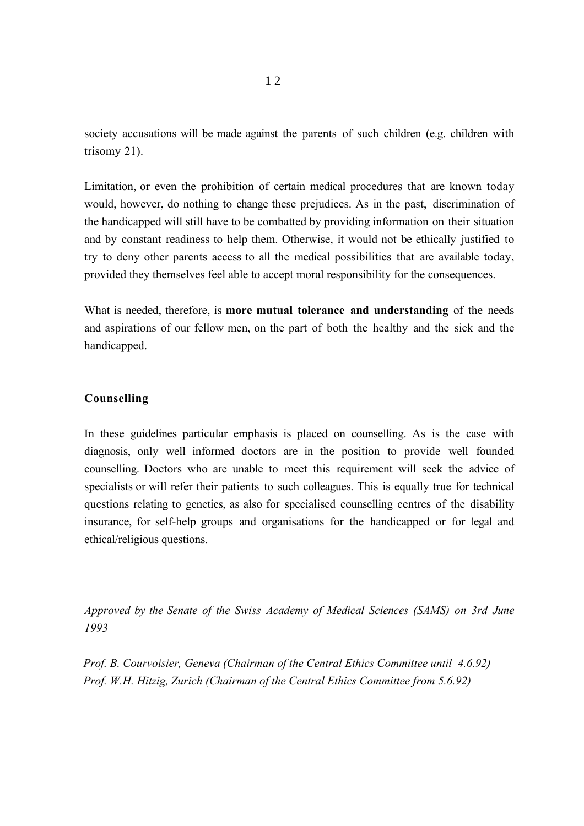society accusations will be made against the parents of such children (e.g. children with trisomy 21).

Limitation, or even the prohibition of certain medical procedures that are known today would, however, do nothing to change these prejudices. As in the past, discrimination of the handicapped will still have to be combatted by providing information on their situation and by constant readiness to help them. Otherwise, it would not be ethically justified to try to deny other parents access to all the medical possibilities that are available today, provided they themselves feel able to accept moral responsibility for the consequences.

What is needed, therefore, is **more mutual tolerance and understanding** of the needs and aspirations of our fellow men, on the part of both the healthy and the sick and the handicapped.

#### **Counselling**

In these guidelines particular emphasis is placed on counselling. As is the case with diagnosis, only well informed doctors are in the position to provide well founded counselling. Doctors who are unable to meet this requirement will seek the advice of specialists or will refer their patients to such colleagues. This is equally true for technical questions relating to genetics, as also for specialised counselling centres of the disability insurance, for self-help groups and organisations for the handicapped or for legal and ethical/religious questions.

*Approved by the Senate of the Swiss Academy of Medical Sciences (SAMS) on 3rd June 1993*

*Prof. B. Courvoisier, Geneva (Chairman of the Central Ethics Committee until 4.6.92) Prof. W.H. Hitzig, Zurich (Chairman of the Central Ethics Committee from 5.6.92)*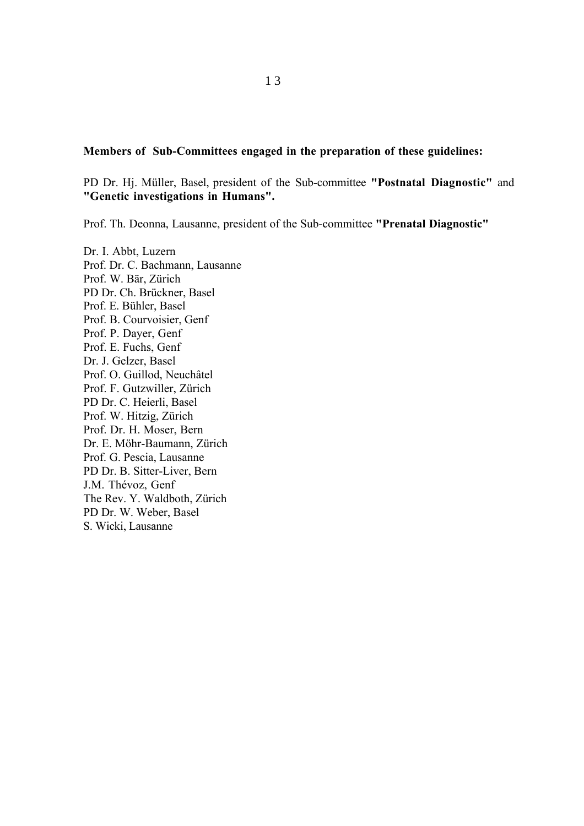#### **Members of Sub-Committees engaged in the preparation of these guidelines:**

PD Dr. Hj. Müller, Basel, president of the Sub-committee **"Postnatal Diagnostic"** and **"Genetic investigations in Humans".**

Prof. Th. Deonna, Lausanne, president of the Sub-committee **"Prenatal Diagnostic"**

Dr. I. Abbt, Luzern Prof. Dr. C. Bachmann, Lausanne Prof. W. Bär, Zürich PD Dr. Ch. Brückner, Basel Prof. E. Bühler, Basel Prof. B. Courvoisier, Genf Prof. P. Dayer, Genf Prof. E. Fuchs, Genf Dr. J. Gelzer, Basel Prof. O. Guillod, Neuchâtel Prof. F. Gutzwiller, Zürich PD Dr. C. Heierli, Basel Prof. W. Hitzig, Zürich Prof. Dr. H. Moser, Bern Dr. E. Möhr-Baumann, Zürich Prof. G. Pescia, Lausanne PD Dr. B. Sitter-Liver, Bern J.M. Thévoz, Genf The Rev. Y. Waldboth, Zürich PD Dr. W. Weber, Basel S. Wicki, Lausanne